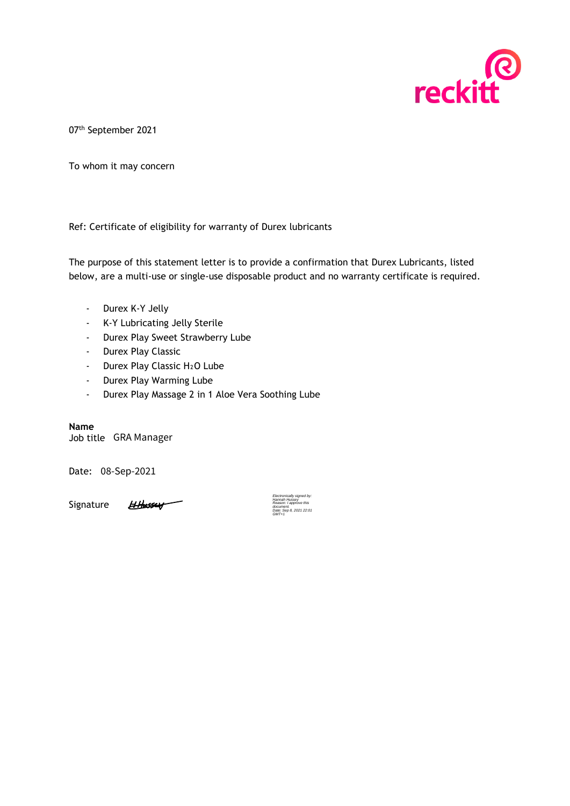

07th September 2021

To whom it may concern

Ref: Certificate of eligibility for warranty of Durex lubricants

The purpose of this statement letter is to provide a confirmation that Durex Lubricants, listed below, are a multi-use or single-use disposable product and no warranty certificate is required.

- Durex K-Y Jelly
- K-Y Lubricating Jelly Sterile
- Durex Play Sweet Strawberry Lube
- Durex Play Classic
- Durex Play Classic H<sub>2</sub>O Lube
- Durex Play Warming Lube
- Durex Play Massage 2 in 1 Aloe Vera Soothing Lube

**Name**

Job title GRA Manager

Date: 08-Sep-2021

Signature

HHussey

Electronically signed by: Hannah Hussey Reason: I approve this document.  $B, 2021 22:01$ GMT+1